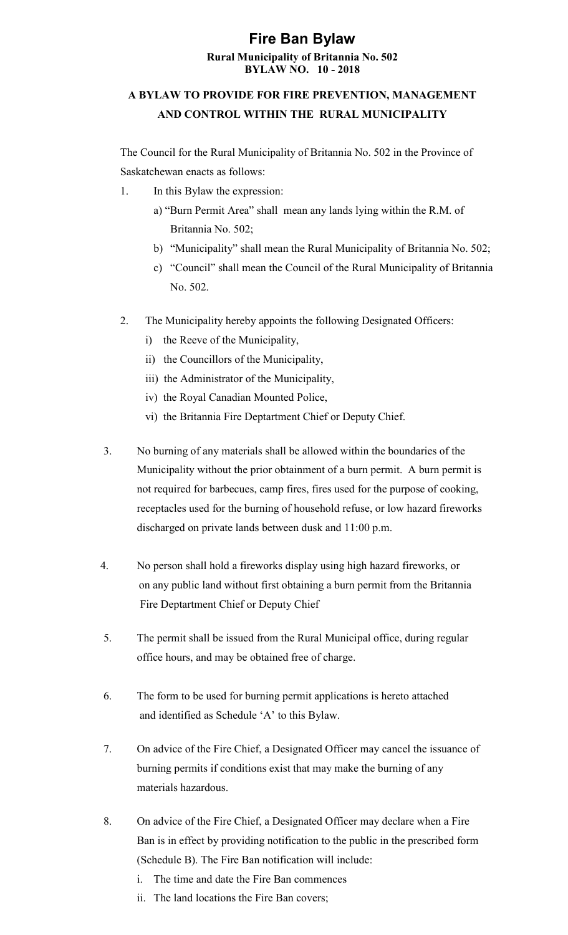#### **Fire Ban Bylaw Rural Municipality of Britannia No. 502 BYLAW NO. 10 - 2018**

#### **A BYLAW TO PROVIDE FOR FIRE PREVENTION, MANAGEMENT AND CONTROL WITHIN THE RURAL MUNICIPALITY**

The Council for the Rural Municipality of Britannia No. 502 in the Province of Saskatchewan enacts as follows:

- 1. In this Bylaw the expression:
	- a) "Burn Permit Area" shall mean any lands lying within the R.M. of Britannia No. 502;
	- b) "Municipality" shall mean the Rural Municipality of Britannia No. 502;
	- c) "Council" shall mean the Council of the Rural Municipality of Britannia No. 502.
- 2. The Municipality hereby appoints the following Designated Officers:
	- i) the Reeve of the Municipality,
	- ii) the Councillors of the Municipality,
	- iii) the Administrator of the Municipality,
	- iv) the Royal Canadian Mounted Police,
	- vi) the Britannia Fire Deptartment Chief or Deputy Chief.
- 3. No burning of any materials shall be allowed within the boundaries of the Municipality without the prior obtainment of a burn permit. A burn permit is not required for barbecues, camp fires, fires used for the purpose of cooking, receptacles used for the burning of household refuse, or low hazard fireworks discharged on private lands between dusk and 11:00 p.m.
- 4. No person shall hold a fireworks display using high hazard fireworks, or on any public land without first obtaining a burn permit from the Britannia Fire Deptartment Chief or Deputy Chief
- 5. The permit shall be issued from the Rural Municipal office, during regular office hours, and may be obtained free of charge.
- 6. The form to be used for burning permit applications is hereto attached and identified as Schedule 'A' to this Bylaw.
- 7. On advice of the Fire Chief, a Designated Officer may cancel the issuance of burning permits if conditions exist that may make the burning of any materials hazardous.
- 8. On advice of the Fire Chief, a Designated Officer may declare when a Fire Ban is in effect by providing notification to the public in the prescribed form (Schedule B). The Fire Ban notification will include:
	- i. The time and date the Fire Ban commences
	- ii. The land locations the Fire Ban covers;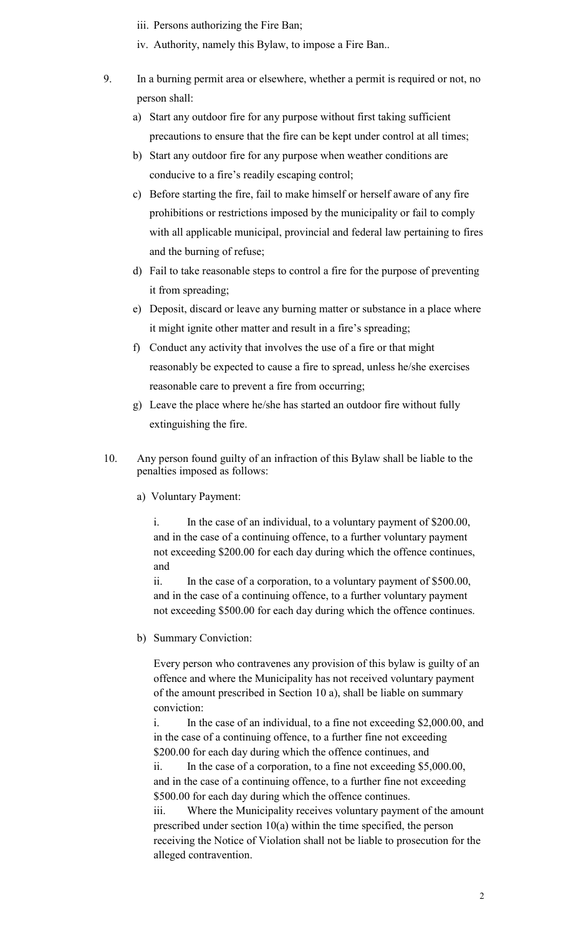- iii. Persons authorizing the Fire Ban;
- iv. Authority, namely this Bylaw, to impose a Fire Ban..
- 9. In a burning permit area or elsewhere, whether a permit is required or not, no person shall:
	- a) Start any outdoor fire for any purpose without first taking sufficient precautions to ensure that the fire can be kept under control at all times;
	- b) Start any outdoor fire for any purpose when weather conditions are conducive to a fire's readily escaping control;
	- c) Before starting the fire, fail to make himself or herself aware of any fire prohibitions or restrictions imposed by the municipality or fail to comply with all applicable municipal, provincial and federal law pertaining to fires and the burning of refuse;
	- d) Fail to take reasonable steps to control a fire for the purpose of preventing it from spreading;
	- e) Deposit, discard or leave any burning matter or substance in a place where it might ignite other matter and result in a fire's spreading;
	- f) Conduct any activity that involves the use of a fire or that might reasonably be expected to cause a fire to spread, unless he/she exercises reasonable care to prevent a fire from occurring;
	- g) Leave the place where he/she has started an outdoor fire without fully extinguishing the fire.
- 10. Any person found guilty of an infraction of this Bylaw shall be liable to the penalties imposed as follows:

a) Voluntary Payment:

i. In the case of an individual, to a voluntary payment of \$200.00, and in the case of a continuing offence, to a further voluntary payment not exceeding \$200.00 for each day during which the offence continues, and

ii. In the case of a corporation, to a voluntary payment of \$500.00, and in the case of a continuing offence, to a further voluntary payment not exceeding \$500.00 for each day during which the offence continues.

b) Summary Conviction:

Every person who contravenes any provision of this bylaw is guilty of an offence and where the Municipality has not received voluntary payment of the amount prescribed in Section 10 a), shall be liable on summary conviction:

i. In the case of an individual, to a fine not exceeding \$2,000.00, and in the case of a continuing offence, to a further fine not exceeding \$200.00 for each day during which the offence continues, and

ii. In the case of a corporation, to a fine not exceeding \$5,000.00, and in the case of a continuing offence, to a further fine not exceeding \$500.00 for each day during which the offence continues.

iii. Where the Municipality receives voluntary payment of the amount prescribed under section 10(a) within the time specified, the person receiving the Notice of Violation shall not be liable to prosecution for the alleged contravention.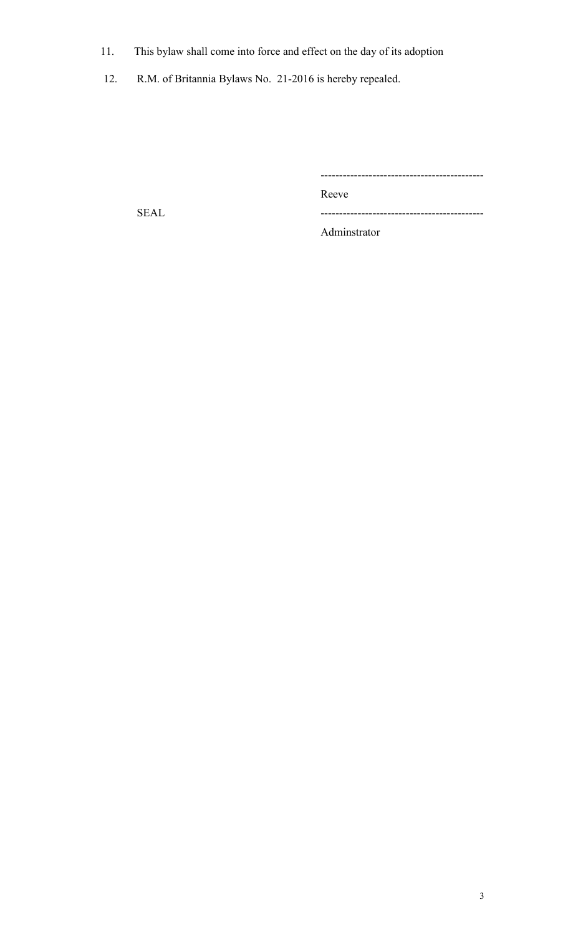- 11. This bylaw shall come into force and effect on the day of its adoption
- 12. R.M. of Britannia Bylaws No. 21-2016 is hereby repealed.

--------------------------------------------

Reeve

SEAL --------------------------------------------

Adminstrator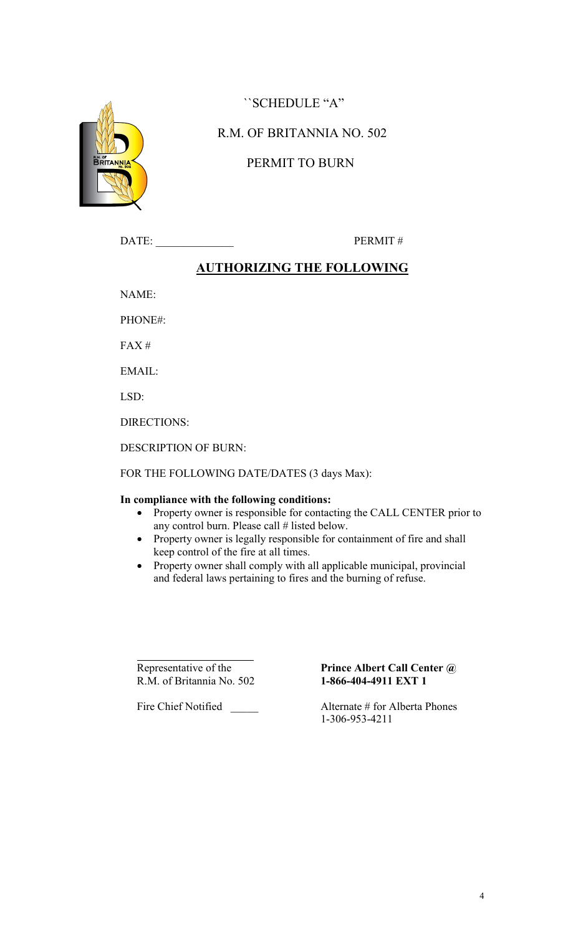

## ``SCHEDULE "A"

#### R.M. OF BRITANNIA NO. 502

#### PERMIT TO BURN

DATE: PERMIT #

### **AUTHORIZING THE FOLLOWING**

NAME:

PHONE#:

FAX #

EMAIL:

LSD:

DIRECTIONS:

DESCRIPTION OF BURN:

FOR THE FOLLOWING DATE/DATES (3 days Max):

#### **In compliance with the following conditions:**

- Property owner is responsible for contacting the CALL CENTER prior to any control burn. Please call # listed below.
- Property owner is legally responsible for containment of fire and shall keep control of the fire at all times.
- Property owner shall comply with all applicable municipal, provincial and federal laws pertaining to fires and the burning of refuse.

R.M. of Britannia No. 502

# Representative of the **Prince Albert Call Center @**<br>R.M. of Britannia No. 502 **1-866-404-4911 EXT 1**

Fire Chief Notified \_\_\_\_\_ Alternate # for Alberta Phones 1-306-953-4211